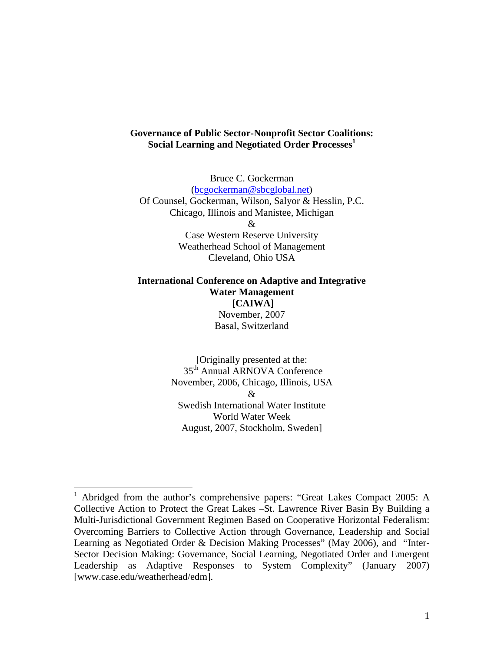# **Governance of Public Sector-Nonprofit Sector Coalitions:**  Social Learning and Negotiated Order Processes<sup>1</sup>

Bruce C. Gockerman (bcgockerman@sbcglobal.net) Of Counsel, Gockerman, Wilson, Salyor & Hesslin, P.C. Chicago, Illinois and Manistee, Michigan  $\mathcal{R}$ Case Western Reserve University Weatherhead School of Management

Cleveland, Ohio USA

# **International Conference on Adaptive and Integrative Water Management [CAIWA]**  November, 2007 Basal, Switzerland

[Originally presented at the: 35th Annual ARNOVA Conference November, 2006, Chicago, Illinois, USA  $\mathcal{R}$ Swedish International Water Institute World Water Week August, 2007, Stockholm, Sweden]

 $\overline{a}$ 

<sup>1</sup> Abridged from the author's comprehensive papers: "Great Lakes Compact 2005: A Collective Action to Protect the Great Lakes –St. Lawrence River Basin By Building a Multi-Jurisdictional Government Regimen Based on Cooperative Horizontal Federalism: Overcoming Barriers to Collective Action through Governance, Leadership and Social Learning as Negotiated Order & Decision Making Processes" (May 2006), and "Inter-Sector Decision Making: Governance, Social Learning, Negotiated Order and Emergent Leadership as Adaptive Responses to System Complexity" (January 2007) [www.case.edu/weatherhead/edm].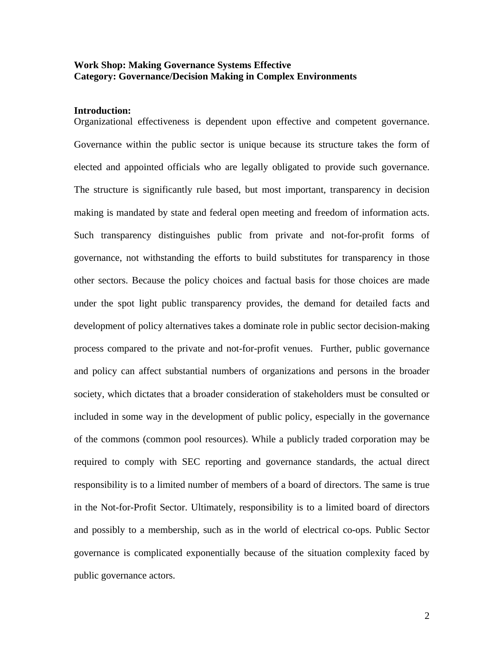# **Work Shop: Making Governance Systems Effective Category: Governance/Decision Making in Complex Environments**

# **Introduction:**

Organizational effectiveness is dependent upon effective and competent governance. Governance within the public sector is unique because its structure takes the form of elected and appointed officials who are legally obligated to provide such governance. The structure is significantly rule based, but most important, transparency in decision making is mandated by state and federal open meeting and freedom of information acts. Such transparency distinguishes public from private and not-for-profit forms of governance, not withstanding the efforts to build substitutes for transparency in those other sectors. Because the policy choices and factual basis for those choices are made under the spot light public transparency provides, the demand for detailed facts and development of policy alternatives takes a dominate role in public sector decision-making process compared to the private and not-for-profit venues. Further, public governance and policy can affect substantial numbers of organizations and persons in the broader society, which dictates that a broader consideration of stakeholders must be consulted or included in some way in the development of public policy, especially in the governance of the commons (common pool resources). While a publicly traded corporation may be required to comply with SEC reporting and governance standards, the actual direct responsibility is to a limited number of members of a board of directors. The same is true in the Not-for-Profit Sector. Ultimately, responsibility is to a limited board of directors and possibly to a membership, such as in the world of electrical co-ops. Public Sector governance is complicated exponentially because of the situation complexity faced by public governance actors.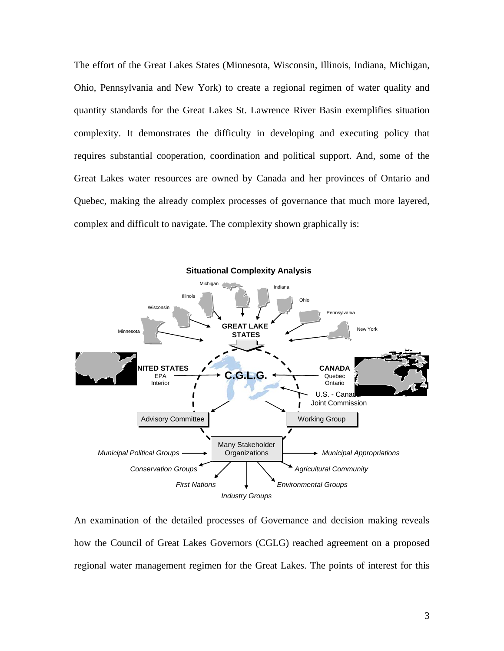The effort of the Great Lakes States (Minnesota, Wisconsin, Illinois, Indiana, Michigan, Ohio, Pennsylvania and New York) to create a regional regimen of water quality and quantity standards for the Great Lakes St. Lawrence River Basin exemplifies situation complexity. It demonstrates the difficulty in developing and executing policy that requires substantial cooperation, coordination and political support. And, some of the Great Lakes water resources are owned by Canada and her provinces of Ontario and Quebec, making the already complex processes of governance that much more layered, complex and difficult to navigate. The complexity shown graphically is:



An examination of the detailed processes of Governance and decision making reveals how the Council of Great Lakes Governors (CGLG) reached agreement on a proposed regional water management regimen for the Great Lakes. The points of interest for this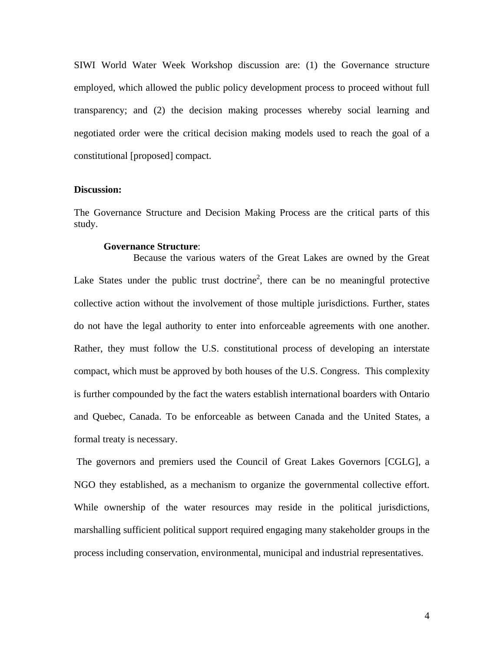SIWI World Water Week Workshop discussion are: (1) the Governance structure employed, which allowed the public policy development process to proceed without full transparency; and (2) the decision making processes whereby social learning and negotiated order were the critical decision making models used to reach the goal of a constitutional [proposed] compact.

# **Discussion:**

The Governance Structure and Decision Making Process are the critical parts of this study.

### **Governance Structure**:

 Because the various waters of the Great Lakes are owned by the Great Lake States under the public trust doctrine<sup>2</sup>, there can be no meaningful protective collective action without the involvement of those multiple jurisdictions. Further, states do not have the legal authority to enter into enforceable agreements with one another. Rather, they must follow the U.S. constitutional process of developing an interstate compact, which must be approved by both houses of the U.S. Congress. This complexity is further compounded by the fact the waters establish international boarders with Ontario and Quebec, Canada. To be enforceable as between Canada and the United States, a formal treaty is necessary.

 The governors and premiers used the Council of Great Lakes Governors [CGLG], a NGO they established, as a mechanism to organize the governmental collective effort. While ownership of the water resources may reside in the political jurisdictions, marshalling sufficient political support required engaging many stakeholder groups in the process including conservation, environmental, municipal and industrial representatives.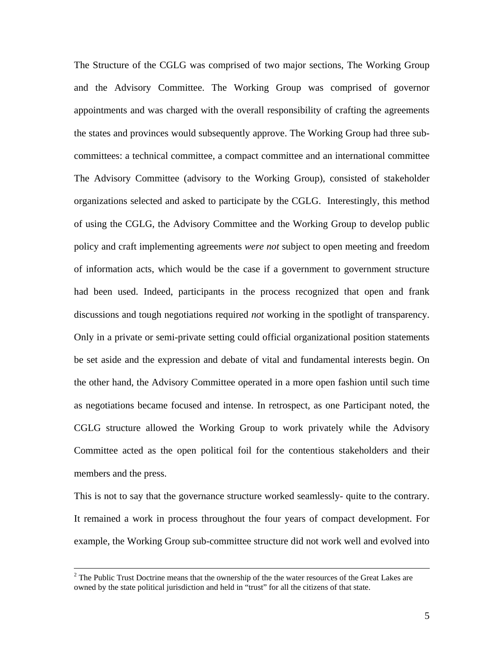The Structure of the CGLG was comprised of two major sections, The Working Group and the Advisory Committee. The Working Group was comprised of governor appointments and was charged with the overall responsibility of crafting the agreements the states and provinces would subsequently approve. The Working Group had three subcommittees: a technical committee, a compact committee and an international committee The Advisory Committee (advisory to the Working Group), consisted of stakeholder organizations selected and asked to participate by the CGLG. Interestingly, this method of using the CGLG, the Advisory Committee and the Working Group to develop public policy and craft implementing agreements *were not* subject to open meeting and freedom of information acts, which would be the case if a government to government structure had been used. Indeed, participants in the process recognized that open and frank discussions and tough negotiations required *not* working in the spotlight of transparency. Only in a private or semi-private setting could official organizational position statements be set aside and the expression and debate of vital and fundamental interests begin. On the other hand, the Advisory Committee operated in a more open fashion until such time as negotiations became focused and intense. In retrospect, as one Participant noted, the CGLG structure allowed the Working Group to work privately while the Advisory Committee acted as the open political foil for the contentious stakeholders and their members and the press.

This is not to say that the governance structure worked seamlessly- quite to the contrary. It remained a work in process throughout the four years of compact development. For example, the Working Group sub-committee structure did not work well and evolved into

 $\frac{1}{2}$  $2$  The Public Trust Doctrine means that the ownership of the the water resources of the Great Lakes are owned by the state political jurisdiction and held in "trust" for all the citizens of that state.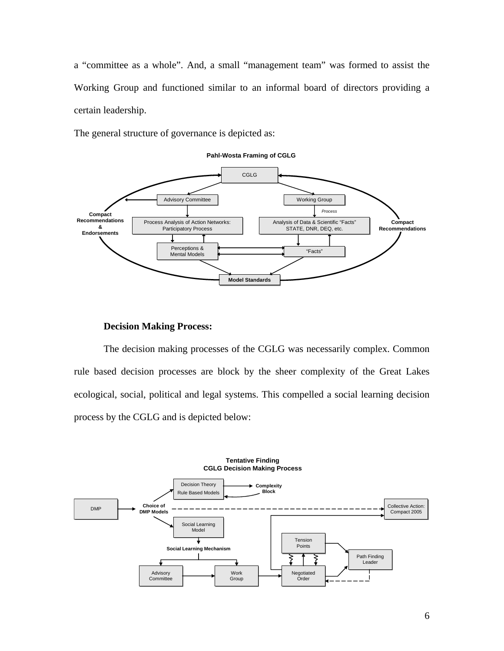a "committee as a whole". And, a small "management team" was formed to assist the Working Group and functioned similar to an informal board of directors providing a certain leadership.

The general structure of governance is depicted as:



#### **Pahl-Wosta Framing of CGLG**

## **Decision Making Process:**

The decision making processes of the CGLG was necessarily complex. Common rule based decision processes are block by the sheer complexity of the Great Lakes ecological, social, political and legal systems. This compelled a social learning decision process by the CGLG and is depicted below:

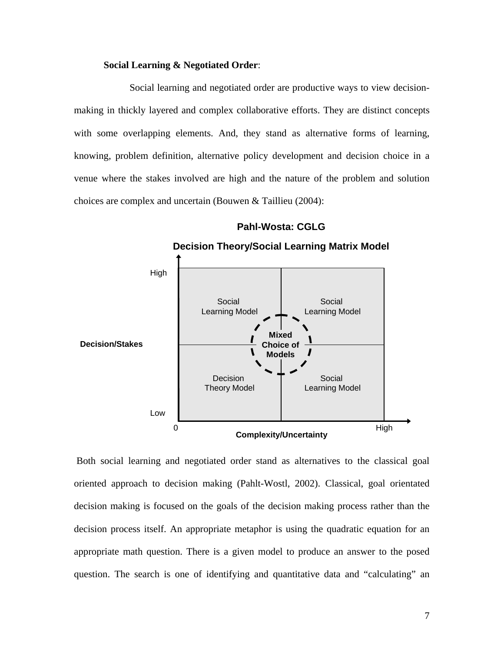# **Social Learning & Negotiated Order**:

Social learning and negotiated order are productive ways to view decisionmaking in thickly layered and complex collaborative efforts. They are distinct concepts with some overlapping elements. And, they stand as alternative forms of learning, knowing, problem definition, alternative policy development and decision choice in a venue where the stakes involved are high and the nature of the problem and solution choices are complex and uncertain (Bouwen & Taillieu (2004):



# **Pahl-Wosta: CGLG**

 Both social learning and negotiated order stand as alternatives to the classical goal oriented approach to decision making (Pahlt-Wostl, 2002). Classical, goal orientated decision making is focused on the goals of the decision making process rather than the decision process itself. An appropriate metaphor is using the quadratic equation for an appropriate math question. There is a given model to produce an answer to the posed question. The search is one of identifying and quantitative data and "calculating" an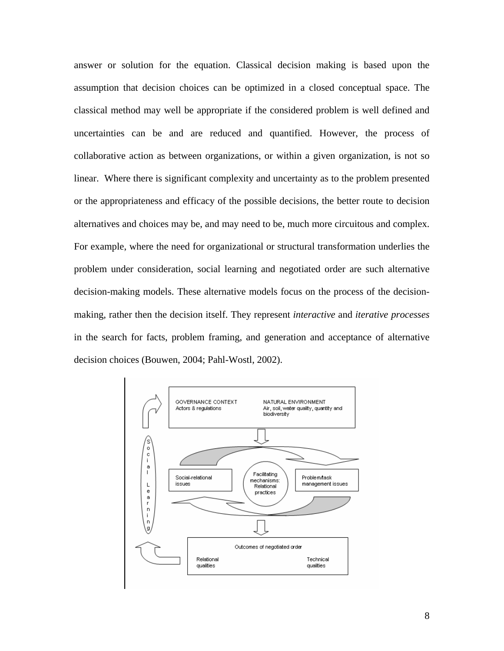answer or solution for the equation. Classical decision making is based upon the assumption that decision choices can be optimized in a closed conceptual space. The classical method may well be appropriate if the considered problem is well defined and uncertainties can be and are reduced and quantified. However, the process of collaborative action as between organizations, or within a given organization, is not so linear. Where there is significant complexity and uncertainty as to the problem presented or the appropriateness and efficacy of the possible decisions, the better route to decision alternatives and choices may be, and may need to be, much more circuitous and complex. For example, where the need for organizational or structural transformation underlies the problem under consideration, social learning and negotiated order are such alternative decision-making models. These alternative models focus on the process of the decisionmaking, rather then the decision itself. They represent *interactive* and *iterative processes* in the search for facts, problem framing, and generation and acceptance of alternative decision choices (Bouwen, 2004; Pahl-Wostl, 2002).

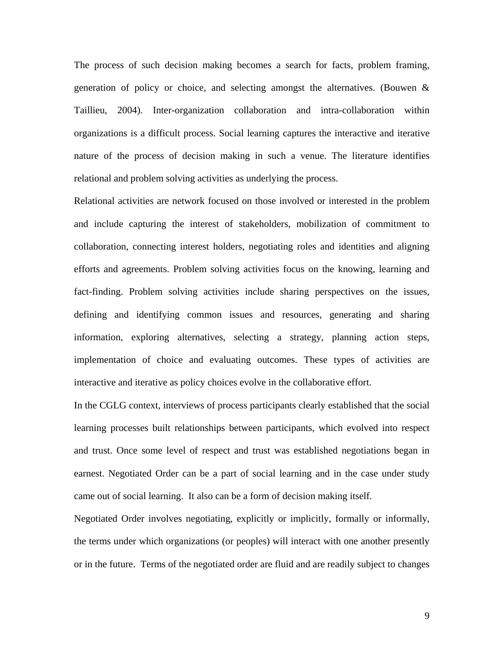The process of such decision making becomes a search for facts, problem framing, generation of policy or choice, and selecting amongst the alternatives. (Bouwen & Taillieu, 2004). Inter-organization collaboration and intra-collaboration within organizations is a difficult process. Social learning captures the interactive and iterative nature of the process of decision making in such a venue. The literature identifies relational and problem solving activities as underlying the process.

Relational activities are network focused on those involved or interested in the problem and include capturing the interest of stakeholders, mobilization of commitment to collaboration, connecting interest holders, negotiating roles and identities and aligning efforts and agreements. Problem solving activities focus on the knowing, learning and fact-finding. Problem solving activities include sharing perspectives on the issues, defining and identifying common issues and resources, generating and sharing information, exploring alternatives, selecting a strategy, planning action steps, implementation of choice and evaluating outcomes. These types of activities are interactive and iterative as policy choices evolve in the collaborative effort.

In the CGLG context, interviews of process participants clearly established that the social learning processes built relationships between participants, which evolved into respect and trust. Once some level of respect and trust was established negotiations began in earnest. Negotiated Order can be a part of social learning and in the case under study came out of social learning. It also can be a form of decision making itself.

Negotiated Order involves negotiating, explicitly or implicitly, formally or informally, the terms under which organizations (or peoples) will interact with one another presently or in the future. Terms of the negotiated order are fluid and are readily subject to changes

9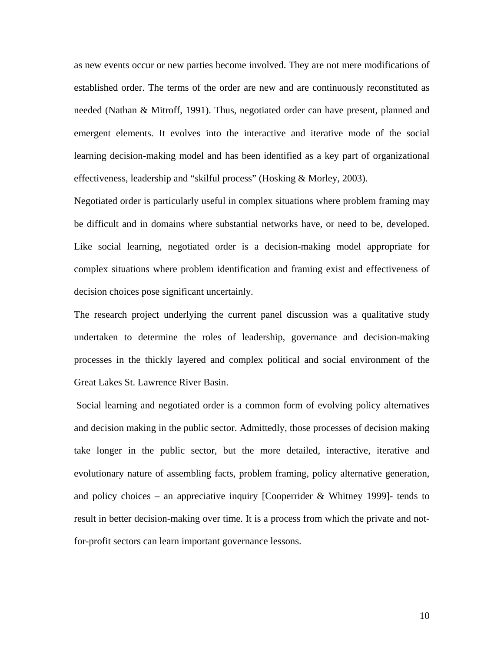as new events occur or new parties become involved. They are not mere modifications of established order. The terms of the order are new and are continuously reconstituted as needed (Nathan & Mitroff, 1991). Thus, negotiated order can have present, planned and emergent elements. It evolves into the interactive and iterative mode of the social learning decision-making model and has been identified as a key part of organizational effectiveness, leadership and "skilful process" (Hosking & Morley, 2003).

Negotiated order is particularly useful in complex situations where problem framing may be difficult and in domains where substantial networks have, or need to be, developed. Like social learning, negotiated order is a decision-making model appropriate for complex situations where problem identification and framing exist and effectiveness of decision choices pose significant uncertainly.

The research project underlying the current panel discussion was a qualitative study undertaken to determine the roles of leadership, governance and decision-making processes in the thickly layered and complex political and social environment of the Great Lakes St. Lawrence River Basin.

 Social learning and negotiated order is a common form of evolving policy alternatives and decision making in the public sector. Admittedly, those processes of decision making take longer in the public sector, but the more detailed, interactive, iterative and evolutionary nature of assembling facts, problem framing, policy alternative generation, and policy choices – an appreciative inquiry [Cooperrider & Whitney 1999]- tends to result in better decision-making over time. It is a process from which the private and notfor-profit sectors can learn important governance lessons.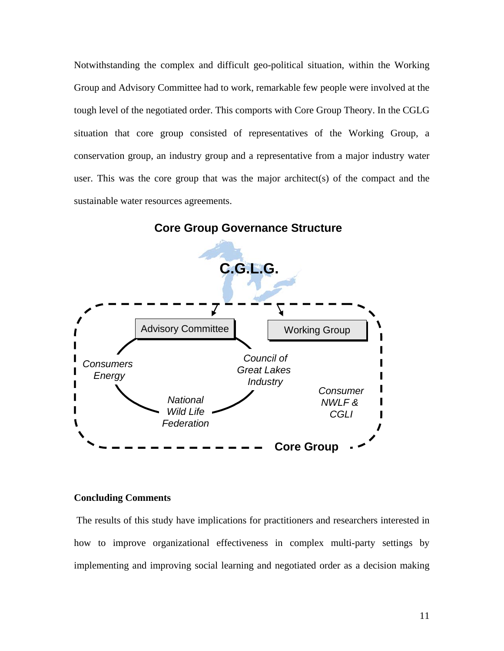Notwithstanding the complex and difficult geo-political situation, within the Working Group and Advisory Committee had to work, remarkable few people were involved at the tough level of the negotiated order. This comports with Core Group Theory. In the CGLG situation that core group consisted of representatives of the Working Group, a conservation group, an industry group and a representative from a major industry water user. This was the core group that was the major architect(s) of the compact and the sustainable water resources agreements.



**Core Group Governance Structure**

# **Concluding Comments**

 The results of this study have implications for practitioners and researchers interested in how to improve organizational effectiveness in complex multi-party settings by implementing and improving social learning and negotiated order as a decision making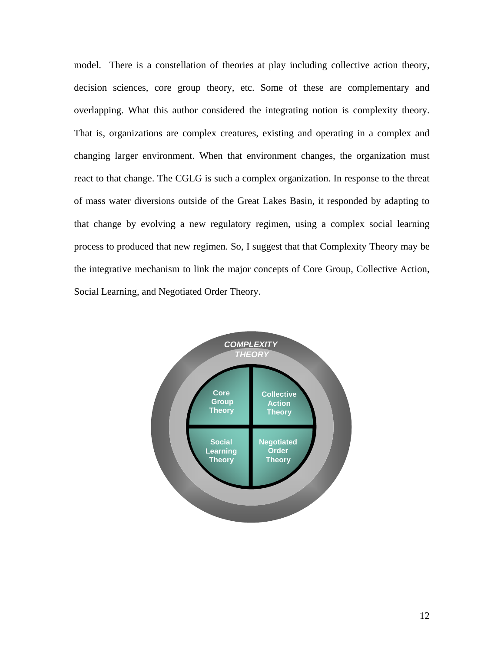model. There is a constellation of theories at play including collective action theory, decision sciences, core group theory, etc. Some of these are complementary and overlapping. What this author considered the integrating notion is complexity theory. That is, organizations are complex creatures, existing and operating in a complex and changing larger environment. When that environment changes, the organization must react to that change. The CGLG is such a complex organization. In response to the threat of mass water diversions outside of the Great Lakes Basin, it responded by adapting to that change by evolving a new regulatory regimen, using a complex social learning process to produced that new regimen. So, I suggest that that Complexity Theory may be the integrative mechanism to link the major concepts of Core Group, Collective Action, Social Learning, and Negotiated Order Theory.

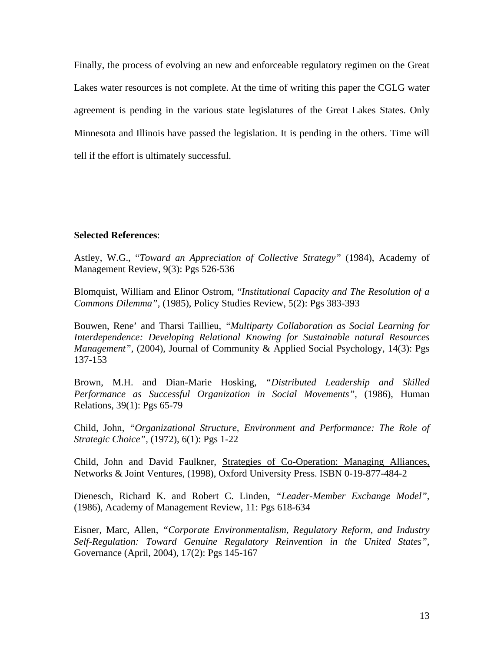Finally, the process of evolving an new and enforceable regulatory regimen on the Great Lakes water resources is not complete. At the time of writing this paper the CGLG water agreement is pending in the various state legislatures of the Great Lakes States. Only Minnesota and Illinois have passed the legislation. It is pending in the others. Time will tell if the effort is ultimately successful.

### **Selected References**:

Astley, W.G., "*Toward an Appreciation of Collective Strategy"* (1984), Academy of Management Review, 9(3): Pgs 526-536

Blomquist, William and Elinor Ostrom, "*Institutional Capacity and The Resolution of a Commons Dilemma",* (1985), Policy Studies Review, 5(2): Pgs 383-393

Bouwen, Rene' and Tharsi Taillieu, *"Multiparty Collaboration as Social Learning for Interdependence: Developing Relational Knowing for Sustainable natural Resources Management", (2004), Journal of Community & Applied Social Psychology, 14(3): Pgs* 137-153

Brown, M.H. and Dian-Marie Hosking, *"Distributed Leadership and Skilled Performance as Successful Organization in Social Movements",* (1986), Human Relations, 39(1): Pgs 65-79

Child, John, *"Organizational Structure, Environment and Performance: The Role of Strategic Choice",* (1972), 6(1): Pgs 1-22

Child, John and David Faulkner, Strategies of Co-Operation: Managing Alliances, Networks & Joint Ventures, (1998), Oxford University Press. ISBN 0-19-877-484-2

Dienesch, Richard K. and Robert C. Linden, *"Leader-Member Exchange Model"*, (1986), Academy of Management Review, 11: Pgs 618-634

Eisner, Marc, Allen, *"Corporate Environmentalism, Regulatory Reform, and Industry Self-Regulation: Toward Genuine Regulatory Reinvention in the United States",*  Governance (April, 2004), 17(2): Pgs 145-167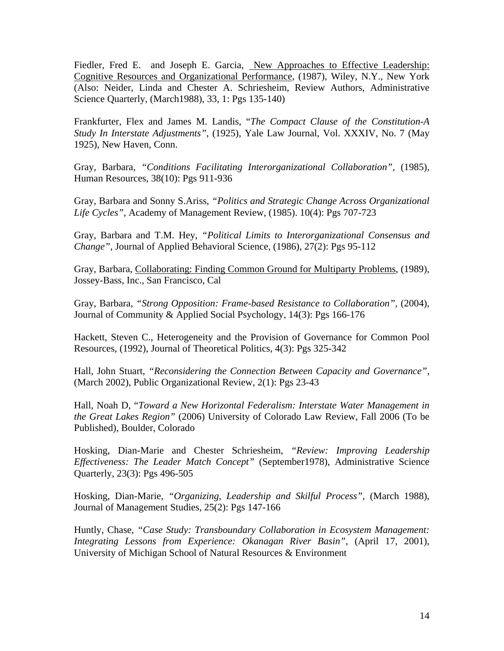Fiedler, Fred E. and Joseph E. Garcia, New Approaches to Effective Leadership: Cognitive Resources and Organizational Performance, (1987), Wiley, N.Y., New York (Also: Neider, Linda and Chester A. Schriesheim, Review Authors, Administrative Science Quarterly, (March1988), 33, 1: Pgs 135-140)

Frankfurter, Flex and James M. Landis, "*The Compact Clause of the Constitution-A Study In Interstate Adjustments"*, (1925), Yale Law Journal, Vol. XXXIV, No. 7 (May 1925), New Haven, Conn.

Gray, Barbara, *"Conditions Facilitating Interorganizational Collaboration",* (1985), Human Resources, 38(10): Pgs 911-936

Gray, Barbara and Sonny S.Ariss, *"Politics and Strategic Change Across Organizational Life Cycles"*, Academy of Management Review, (1985). 10(4): Pgs 707-723

Gray, Barbara and T.M. Hey, *"Political Limits to Interorganizational Consensus and Change"*, Journal of Applied Behavioral Science, (1986), 27(2): Pgs 95-112

Gray, Barbara, Collaborating: Finding Common Ground for Multiparty Problems, (1989), Jossey-Bass, Inc., San Francisco, Cal

Gray, Barbara, "*Strong Opposition: Frame-based Resistance to Collaboration*", (2004), Journal of Community & Applied Social Psychology, 14(3): Pgs 166-176

Hackett, Steven C., Heterogeneity and the Provision of Governance for Common Pool Resources, (1992), Journal of Theoretical Politics, 4(3): Pgs 325-342

Hall, John Stuart, *"Reconsidering the Connection Between Capacity and Governance",*  (March 2002), Public Organizational Review, 2(1): Pgs 23-43

Hall, Noah D, "*Toward a New Horizontal Federalism: Interstate Water Management in the Great Lakes Region"* (2006) University of Colorado Law Review, Fall 2006 (To be Published), Boulder, Colorado

Hosking, Dian-Marie and Chester Schriesheim, *"Review: Improving Leadership Effectiveness: The Leader Match Concept"* (September1978), Administrative Science Quarterly, 23(3): Pgs 496-505

Hosking, Dian-Marie, *"Organizing, Leadership and Skilful Process",* (March 1988), Journal of Management Studies, 25(2): Pgs 147-166

Huntly, Chase, *"Case Study: Transboundary Collaboration in Ecosystem Management: Integrating Lessons from Experience: Okanagan River Basin",* (April 17, 2001), University of Michigan School of Natural Resources & Environment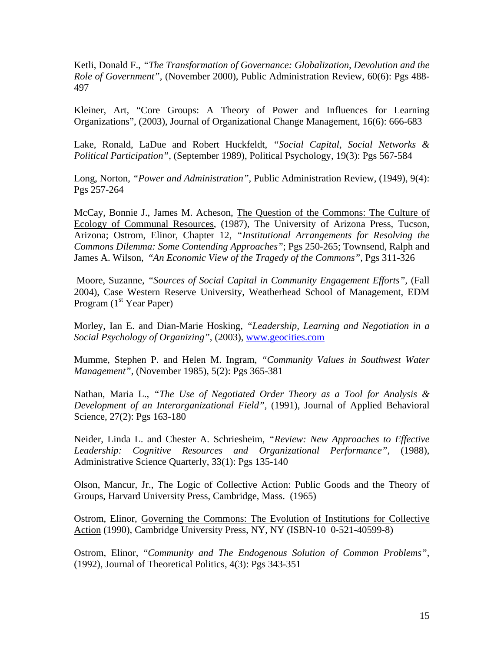Ketli, Donald F., *"The Transformation of Governance: Globalization, Devolution and the Role of Government",* (November 2000), Public Administration Review, 60(6): Pgs 488- 497

Kleiner, Art, "Core Groups: A Theory of Power and Influences for Learning Organizations", (2003), Journal of Organizational Change Management, 16(6): 666-683

Lake, Ronald, LaDue and Robert Huckfeldt, *"Social Capital, Social Networks & Political Participation",* (September 1989), Political Psychology, 19(3): Pgs 567-584

Long, Norton, *"Power and Administration"*, Public Administration Review, (1949), 9(4): Pgs 257-264

McCay, Bonnie J., James M. Acheson, The Question of the Commons: The Culture of Ecology of Communal Resources, (1987), The University of Arizona Press, Tucson, Arizona; Ostrom, Elinor, Chapter 12, *"Institutional Arrangements for Resolving the Commons Dilemma: Some Contending Approaches"*; Pgs 250-265; Townsend, Ralph and James A. Wilson, "An Economic View of the Tragedy of the Commons", Pgs 311-326

 Moore, Suzanne, *"Sources of Social Capital in Community Engagement Efforts",* (Fall 2004), Case Western Reserve University, Weatherhead School of Management, EDM Program  $(1<sup>st</sup> Year Paper)$ 

Morley, Ian E. and Dian-Marie Hosking, *"Leadership, Learning and Negotiation in a Social Psychology of Organizing"*, (2003), www.geocities.com

Mumme, Stephen P. and Helen M. Ingram, *"Community Values in Southwest Water Management",* (November 1985), 5(2): Pgs 365-381

Nathan, Maria L., *"The Use of Negotiated Order Theory as a Tool for Analysis & Development of an Interorganizational Field",* (1991), Journal of Applied Behavioral Science, 27(2): Pgs 163-180

Neider, Linda L. and Chester A. Schriesheim, *"Review: New Approaches to Effective Leadership: Cognitive Resources and Organizational Performance",* (1988), Administrative Science Quarterly, 33(1): Pgs 135-140

Olson, Mancur, Jr., The Logic of Collective Action: Public Goods and the Theory of Groups, Harvard University Press, Cambridge, Mass. (1965)

Ostrom, Elinor, Governing the Commons: The Evolution of Institutions for Collective Action (1990), Cambridge University Press, NY, NY (ISBN-10 0-521-40599-8)

Ostrom, Elinor, "*Community and The Endogenous Solution of Common Problems"*, (1992), Journal of Theoretical Politics, 4(3): Pgs 343-351